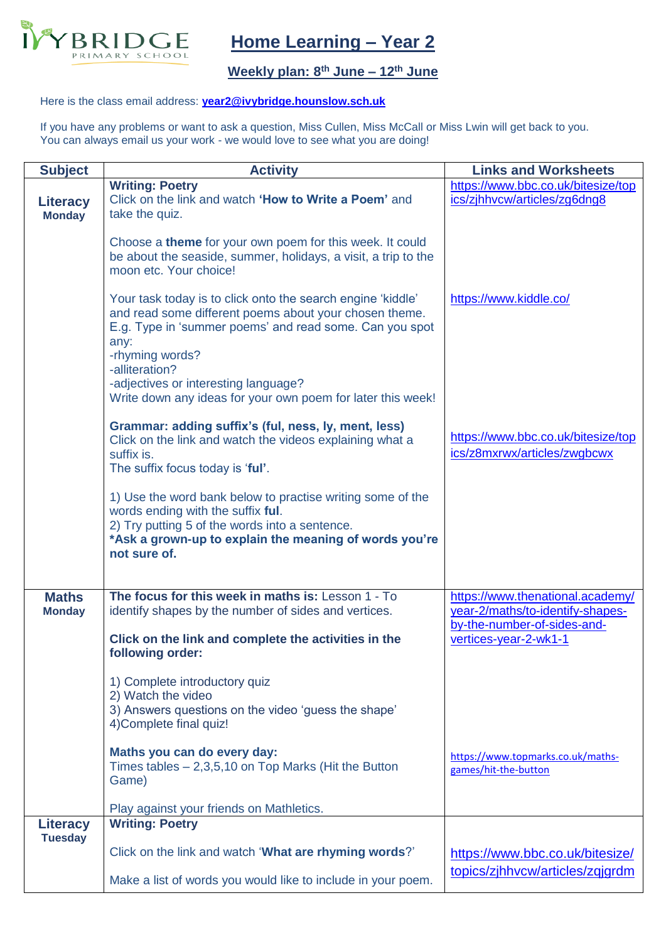

## **Home Learning – Year 2**

## **Weekly plan: 8 th June – 12th June**

## Here is the class email address: **[year2@ivybridge.hounslow.sch.uk](mailto:year2@ivybridge.hounslow.sch.uk)**

If you have any problems or want to ask a question, Miss Cullen, Miss McCall or Miss Lwin will get back to you. You can always email us your work - we would love to see what you are doing!

| <b>Subject</b>                    | <b>Activity</b>                                                                                                                                                                                                             | <b>Links and Worksheets</b>                                        |
|-----------------------------------|-----------------------------------------------------------------------------------------------------------------------------------------------------------------------------------------------------------------------------|--------------------------------------------------------------------|
| <b>Literacy</b><br><b>Monday</b>  | <b>Writing: Poetry</b><br>Click on the link and watch 'How to Write a Poem' and<br>take the quiz.                                                                                                                           | https://www.bbc.co.uk/bitesize/top<br>ics/zihhvcw/articles/zg6dng8 |
|                                   | Choose a theme for your own poem for this week. It could<br>be about the seaside, summer, holidays, a visit, a trip to the<br>moon etc. Your choice!                                                                        |                                                                    |
|                                   | Your task today is to click onto the search engine 'kiddle'<br>and read some different poems about your chosen theme.<br>E.g. Type in 'summer poems' and read some. Can you spot<br>any:<br>-rhyming words?                 | https://www.kiddle.co/                                             |
|                                   | -alliteration?<br>-adjectives or interesting language?<br>Write down any ideas for your own poem for later this week!                                                                                                       |                                                                    |
|                                   | Grammar: adding suffix's (ful, ness, ly, ment, less)<br>Click on the link and watch the videos explaining what a<br>suffix is.<br>The suffix focus today is 'ful'.                                                          | https://www.bbc.co.uk/bitesize/top<br>ics/z8mxrwx/articles/zwgbcwx |
|                                   | 1) Use the word bank below to practise writing some of the<br>words ending with the suffix ful.<br>2) Try putting 5 of the words into a sentence.<br>*Ask a grown-up to explain the meaning of words you're<br>not sure of. |                                                                    |
| <b>Maths</b>                      | The focus for this week in maths is: Lesson 1 - To                                                                                                                                                                          | https://www.thenational.academy/                                   |
| <b>Monday</b>                     | identify shapes by the number of sides and vertices.                                                                                                                                                                        | year-2/maths/to-identify-shapes-<br>by-the-number-of-sides-and-    |
|                                   | Click on the link and complete the activities in the<br>following order:                                                                                                                                                    | vertices-year-2-wk1-1                                              |
|                                   | 1) Complete introductory quiz<br>2) Watch the video<br>3) Answers questions on the video 'guess the shape'<br>4) Complete final quiz!                                                                                       |                                                                    |
|                                   | Maths you can do every day:<br>Times tables $-2,3,5,10$ on Top Marks (Hit the Button<br>Game)                                                                                                                               | https://www.topmarks.co.uk/maths-<br>games/hit-the-button          |
|                                   | Play against your friends on Mathletics.                                                                                                                                                                                    |                                                                    |
| <b>Literacy</b><br><b>Tuesday</b> | <b>Writing: Poetry</b>                                                                                                                                                                                                      |                                                                    |
|                                   | Click on the link and watch 'What are rhyming words?'                                                                                                                                                                       | https://www.bbc.co.uk/bitesize/                                    |
|                                   | Make a list of words you would like to include in your poem.                                                                                                                                                                | topics/zjhhvcw/articles/zgjgrdm                                    |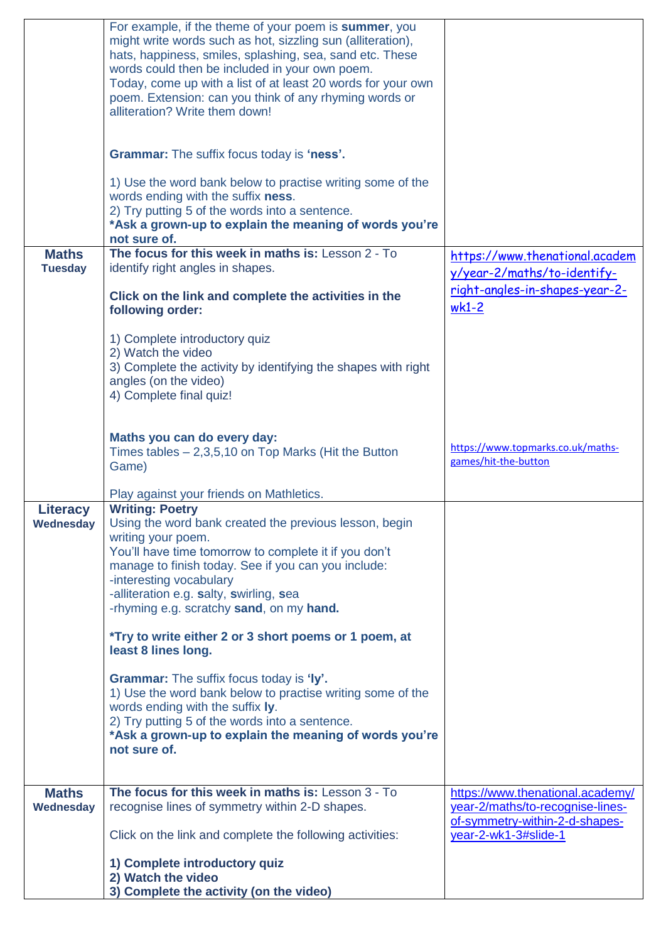|                                | For example, if the theme of your poem is summer, you<br>might write words such as hot, sizzling sun (alliteration),<br>hats, happiness, smiles, splashing, sea, sand etc. These<br>words could then be included in your own poem.<br>Today, come up with a list of at least 20 words for your own<br>poem. Extension: can you think of any rhyming words or<br>alliteration? Write them down! |                                                                                                        |
|--------------------------------|------------------------------------------------------------------------------------------------------------------------------------------------------------------------------------------------------------------------------------------------------------------------------------------------------------------------------------------------------------------------------------------------|--------------------------------------------------------------------------------------------------------|
|                                | <b>Grammar:</b> The suffix focus today is 'ness'.                                                                                                                                                                                                                                                                                                                                              |                                                                                                        |
|                                | 1) Use the word bank below to practise writing some of the<br>words ending with the suffix ness.<br>2) Try putting 5 of the words into a sentence.<br>*Ask a grown-up to explain the meaning of words you're<br>not sure of.                                                                                                                                                                   |                                                                                                        |
| <b>Maths</b><br><b>Tuesday</b> | The focus for this week in maths is: Lesson 2 - To<br>identify right angles in shapes.                                                                                                                                                                                                                                                                                                         | https://www.thenational.academ<br>y/year-2/maths/to-identify-                                          |
|                                | Click on the link and complete the activities in the<br>following order:                                                                                                                                                                                                                                                                                                                       | right-angles-in-shapes-year-2-<br>$wk1-2$                                                              |
|                                | 1) Complete introductory quiz<br>2) Watch the video<br>3) Complete the activity by identifying the shapes with right<br>angles (on the video)<br>4) Complete final quiz!                                                                                                                                                                                                                       |                                                                                                        |
|                                | Maths you can do every day:<br>Times tables $-2,3,5,10$ on Top Marks (Hit the Button<br>Game)                                                                                                                                                                                                                                                                                                  | https://www.topmarks.co.uk/maths-<br>games/hit-the-button                                              |
|                                | Play against your friends on Mathletics.                                                                                                                                                                                                                                                                                                                                                       |                                                                                                        |
| <b>Literacy</b><br>Wednesday   | <b>Writing: Poetry</b><br>Using the word bank created the previous lesson, begin<br>writing your poem.<br>You'll have time tomorrow to complete it if you don't<br>manage to finish today. See if you can you include:<br>-interesting vocabulary<br>-alliteration e.g. salty, swirling, sea<br>-rhyming e.g. scratchy sand, on my hand.                                                       |                                                                                                        |
|                                | <i>*Try to write either 2 or 3 short poems or 1 poem, at</i><br>least 8 lines long.                                                                                                                                                                                                                                                                                                            |                                                                                                        |
|                                | <b>Grammar:</b> The suffix focus today is 'ly'.<br>1) Use the word bank below to practise writing some of the<br>words ending with the suffix ly.<br>2) Try putting 5 of the words into a sentence.<br>*Ask a grown-up to explain the meaning of words you're<br>not sure of.                                                                                                                  |                                                                                                        |
| <b>Maths</b><br>Wednesday      | The focus for this week in maths is: Lesson 3 - To<br>recognise lines of symmetry within 2-D shapes.                                                                                                                                                                                                                                                                                           | https://www.thenational.academy/<br>year-2/maths/to-recognise-lines-<br>of-symmetry-within-2-d-shapes- |
|                                | Click on the link and complete the following activities:                                                                                                                                                                                                                                                                                                                                       | year-2-wk1-3#slide-1                                                                                   |
|                                | 1) Complete introductory quiz<br>2) Watch the video<br>3) Complete the activity (on the video)                                                                                                                                                                                                                                                                                                 |                                                                                                        |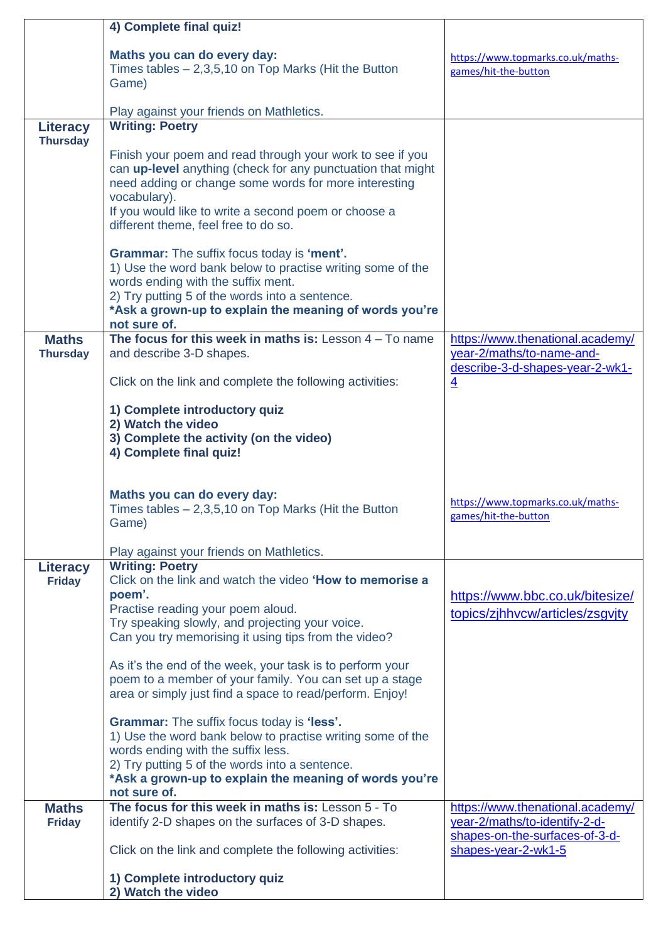|                                  | 4) Complete final quiz!                                                                                                                                                                                                                                                                                                                                              |                                                                                |
|----------------------------------|----------------------------------------------------------------------------------------------------------------------------------------------------------------------------------------------------------------------------------------------------------------------------------------------------------------------------------------------------------------------|--------------------------------------------------------------------------------|
|                                  | Maths you can do every day:<br>Times tables $-2,3,5,10$ on Top Marks (Hit the Button<br>Game)                                                                                                                                                                                                                                                                        | https://www.topmarks.co.uk/maths-<br>games/hit-the-button                      |
|                                  | Play against your friends on Mathletics.                                                                                                                                                                                                                                                                                                                             |                                                                                |
| Literacy<br><b>Thursday</b>      | <b>Writing: Poetry</b>                                                                                                                                                                                                                                                                                                                                               |                                                                                |
|                                  | Finish your poem and read through your work to see if you<br>can up-level anything (check for any punctuation that might<br>need adding or change some words for more interesting<br>vocabulary).<br>If you would like to write a second poem or choose a<br>different theme, feel free to do so.                                                                    |                                                                                |
|                                  | <b>Grammar:</b> The suffix focus today is 'ment'.<br>1) Use the word bank below to practise writing some of the<br>words ending with the suffix ment.<br>2) Try putting 5 of the words into a sentence.<br>*Ask a grown-up to explain the meaning of words you're<br>not sure of.                                                                                    |                                                                                |
| <b>Maths</b>                     | The focus for this week in maths is: Lesson $4 - To$ name                                                                                                                                                                                                                                                                                                            | https://www.thenational.academy/                                               |
| <b>Thursday</b>                  | and describe 3-D shapes.<br>Click on the link and complete the following activities:                                                                                                                                                                                                                                                                                 | year-2/maths/to-name-and-<br>describe-3-d-shapes-year-2-wk1-<br>$\overline{4}$ |
|                                  | 1) Complete introductory quiz<br>2) Watch the video                                                                                                                                                                                                                                                                                                                  |                                                                                |
|                                  | 3) Complete the activity (on the video)<br>4) Complete final quiz!                                                                                                                                                                                                                                                                                                   |                                                                                |
|                                  | Maths you can do every day:<br>Times tables $-2,3,5,10$ on Top Marks (Hit the Button<br>Game)                                                                                                                                                                                                                                                                        | https://www.topmarks.co.uk/maths-<br>games/hit-the-button                      |
|                                  | Play against your friends on Mathletics.                                                                                                                                                                                                                                                                                                                             |                                                                                |
| <b>Literacy</b><br><b>Friday</b> | <b>Writing: Poetry</b><br>Click on the link and watch the video 'How to memorise a<br>poem'.<br>Practise reading your poem aloud.<br>Try speaking slowly, and projecting your voice.<br>Can you try memorising it using tips from the video?<br>As it's the end of the week, your task is to perform your<br>poem to a member of your family. You can set up a stage | https://www.bbc.co.uk/bitesize/<br>topics/zjhhvcw/articles/zsgvjty             |
|                                  | area or simply just find a space to read/perform. Enjoy!<br><b>Grammar:</b> The suffix focus today is 'less'.<br>1) Use the word bank below to practise writing some of the<br>words ending with the suffix less.                                                                                                                                                    |                                                                                |
|                                  | 2) Try putting 5 of the words into a sentence.<br>*Ask a grown-up to explain the meaning of words you're<br>not sure of.                                                                                                                                                                                                                                             |                                                                                |
| <b>Maths</b>                     | The focus for this week in maths is: Lesson 5 - To                                                                                                                                                                                                                                                                                                                   | https://www.thenational.academy/                                               |
| <b>Friday</b>                    | identify 2-D shapes on the surfaces of 3-D shapes.                                                                                                                                                                                                                                                                                                                   | year-2/maths/to-identify-2-d-<br>shapes-on-the-surfaces-of-3-d-                |
|                                  | Click on the link and complete the following activities:                                                                                                                                                                                                                                                                                                             | shapes-year-2-wk1-5                                                            |
|                                  | 1) Complete introductory quiz<br>2) Watch the video                                                                                                                                                                                                                                                                                                                  |                                                                                |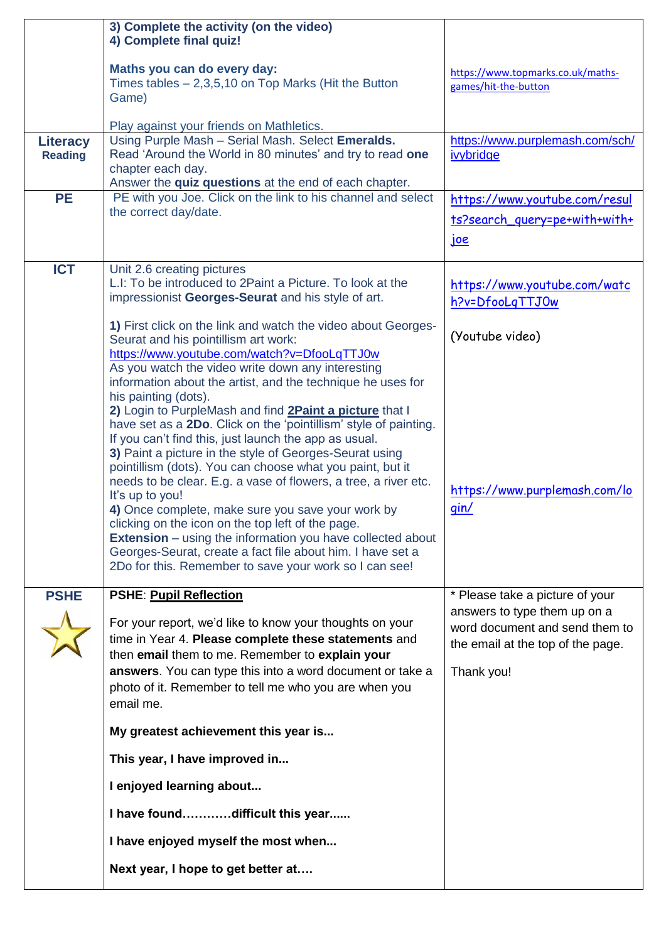|                 | 3) Complete the activity (on the video)<br>4) Complete final quiz!                                                                                                                                                                                                                                                                                                                                                                                                                                                                                                                                                                                                                                                                                                                                                                                                                            |                                                                                                                   |
|-----------------|-----------------------------------------------------------------------------------------------------------------------------------------------------------------------------------------------------------------------------------------------------------------------------------------------------------------------------------------------------------------------------------------------------------------------------------------------------------------------------------------------------------------------------------------------------------------------------------------------------------------------------------------------------------------------------------------------------------------------------------------------------------------------------------------------------------------------------------------------------------------------------------------------|-------------------------------------------------------------------------------------------------------------------|
|                 | Maths you can do every day:<br>Times tables $-2,3,5,10$ on Top Marks (Hit the Button<br>Game)                                                                                                                                                                                                                                                                                                                                                                                                                                                                                                                                                                                                                                                                                                                                                                                                 | https://www.topmarks.co.uk/maths-<br>games/hit-the-button                                                         |
| <b>Literacy</b> | Play against your friends on Mathletics.<br>Using Purple Mash - Serial Mash. Select Emeralds.                                                                                                                                                                                                                                                                                                                                                                                                                                                                                                                                                                                                                                                                                                                                                                                                 | https://www.purplemash.com/sch/                                                                                   |
| <b>Reading</b>  | Read 'Around the World in 80 minutes' and try to read one<br>chapter each day.<br>Answer the quiz questions at the end of each chapter.                                                                                                                                                                                                                                                                                                                                                                                                                                                                                                                                                                                                                                                                                                                                                       | ivybridge                                                                                                         |
| <b>PE</b>       | PE with you Joe. Click on the link to his channel and select                                                                                                                                                                                                                                                                                                                                                                                                                                                                                                                                                                                                                                                                                                                                                                                                                                  | https://www.youtube.com/resul                                                                                     |
|                 | the correct day/date.                                                                                                                                                                                                                                                                                                                                                                                                                                                                                                                                                                                                                                                                                                                                                                                                                                                                         | ts?search_query=pe+with+with+                                                                                     |
|                 |                                                                                                                                                                                                                                                                                                                                                                                                                                                                                                                                                                                                                                                                                                                                                                                                                                                                                               | <u>joe</u>                                                                                                        |
| <b>ICT</b>      | Unit 2.6 creating pictures<br>L.I: To be introduced to 2Paint a Picture. To look at the<br>impressionist Georges-Seurat and his style of art.                                                                                                                                                                                                                                                                                                                                                                                                                                                                                                                                                                                                                                                                                                                                                 | https://www.youtube.com/watc<br>h?v=DfooLqTTJOw                                                                   |
|                 | 1) First click on the link and watch the video about Georges-<br>Seurat and his pointillism art work:<br>https://www.youtube.com/watch?v=DfooLqTTJ0w                                                                                                                                                                                                                                                                                                                                                                                                                                                                                                                                                                                                                                                                                                                                          | (Youtube video)                                                                                                   |
| <b>PSHE</b>     | As you watch the video write down any interesting<br>information about the artist, and the technique he uses for<br>his painting (dots).<br>2) Login to PurpleMash and find <b>2Paint a picture</b> that I<br>have set as a 2Do. Click on the 'pointillism' style of painting.<br>If you can't find this, just launch the app as usual.<br>3) Paint a picture in the style of Georges-Seurat using<br>pointillism (dots). You can choose what you paint, but it<br>needs to be clear. E.g. a vase of flowers, a tree, a river etc.<br>It's up to you!<br>4) Once complete, make sure you save your work by<br>clicking on the icon on the top left of the page.<br><b>Extension</b> – using the information you have collected about<br>Georges-Seurat, create a fact file about him. I have set a<br>2Do for this. Remember to save your work so I can see!<br><b>PSHE: Pupil Reflection</b> | https://www.purplemash.com/lo<br>gin/<br>* Please take a picture of your                                          |
|                 | For your report, we'd like to know your thoughts on your<br>time in Year 4. Please complete these statements and<br>then email them to me. Remember to explain your<br>answers. You can type this into a word document or take a<br>photo of it. Remember to tell me who you are when you<br>email me.                                                                                                                                                                                                                                                                                                                                                                                                                                                                                                                                                                                        | answers to type them up on a<br>word document and send them to<br>the email at the top of the page.<br>Thank you! |
|                 | My greatest achievement this year is                                                                                                                                                                                                                                                                                                                                                                                                                                                                                                                                                                                                                                                                                                                                                                                                                                                          |                                                                                                                   |
|                 | This year, I have improved in                                                                                                                                                                                                                                                                                                                                                                                                                                                                                                                                                                                                                                                                                                                                                                                                                                                                 |                                                                                                                   |
|                 | I enjoyed learning about                                                                                                                                                                                                                                                                                                                                                                                                                                                                                                                                                                                                                                                                                                                                                                                                                                                                      |                                                                                                                   |
|                 | I have founddifficult this year                                                                                                                                                                                                                                                                                                                                                                                                                                                                                                                                                                                                                                                                                                                                                                                                                                                               |                                                                                                                   |
|                 | I have enjoyed myself the most when                                                                                                                                                                                                                                                                                                                                                                                                                                                                                                                                                                                                                                                                                                                                                                                                                                                           |                                                                                                                   |
|                 | Next year, I hope to get better at                                                                                                                                                                                                                                                                                                                                                                                                                                                                                                                                                                                                                                                                                                                                                                                                                                                            |                                                                                                                   |